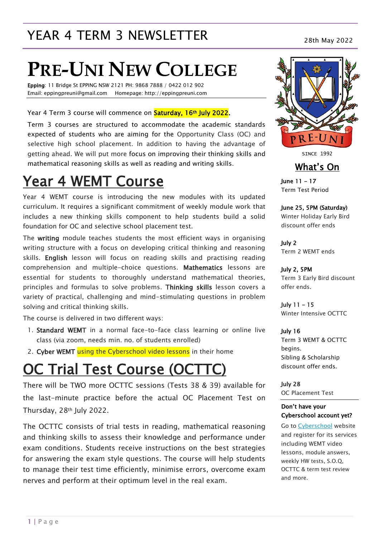# YEAR 4 TERM 3 NEWSLETTER<br>28th May 2022

# **PRE-UNI NEW COLLEGE**

Epping: 11 Bridge St EPPING NSW 2121 PH: 9868 7888 / 0422 012 902 Email: eppingpreuni@gmail.com Homepage: http://eppingpreuni.com

#### Year 4 Term 3 course will commence on **Saturday, 16th July 2022.**

Term 3 courses are structured to accommodate the academic standards expected of students who are aiming for the Opportunity Class (OC) and selective high school placement. In addition to having the advantage of getting ahead. We will put more focus on improving their thinking skills and mathematical reasoning skills as well as reading and writing skills.

# Year 4 WEMT Course

Year 4 WEMT course is introducing the new modules with its updated curriculum. It requires a significant commitment of weekly module work that includes a new thinking skills component to help students build a solid foundation for OC and selective school placement test.

The writing module teaches students the most efficient ways in organising writing structure with a focus on developing critical thinking and reasoning skills. English lesson will focus on reading skills and practising reading comprehension and multiple-choice questions. Mathematics lessons are essential for students to thoroughly understand mathematical theories, principles and formulas to solve problems. Thinking skills lesson covers a variety of practical, challenging and mind-stimulating questions in problem solving and critical thinking skills.

The course is delivered in two different ways:

- 1. Standard WEMT in a normal face-to-face class learning or online live class (via zoom, needs min. no. of students enrolled)
- 2. Cyber WEMT using the Cyberschool video lessons in their home

# OC Trial Test Course (OCTTC)

There will be TWO more OCTTC sessions (Tests 38 & 39) available for the last-minute practice before the actual OC Placement Test on Thursday, 28th July 2022.

The OCTTC consists of trial tests in reading, mathematical reasoning and thinking skills to assess their knowledge and performance under exam conditions. Students receive instructions on the best strategies for answering the exam style questions. The course will help students to manage their test time efficiently, minimise errors, overcome exam nerves and perform at their optimum level in the real exam.



**SINCE 1992** 

#### What's On

June 11 – 17 Term Test Period

June 25, 5PM (Saturday) Winter Holiday Early Bird discount offer ends

July 2 Term 2 WEMT ends

July 2, 5PM Term 3 Early Bird discount offer ends.

July 11 – 15 Winter Intensive OCTTC

July 16

Term 3 WEMT & OCTTC begins. Sibling & Scholarship discount offer ends.

July 28 OC Placement Test

#### Don't have your Cyberschool account yet?

Go to [Cyberschool](https://www.cyberschool.com.au/) website and register for its services including WEMT video lessons, module answers, weekly HW tests, S.O.Q, OCTTC & term test review and more.